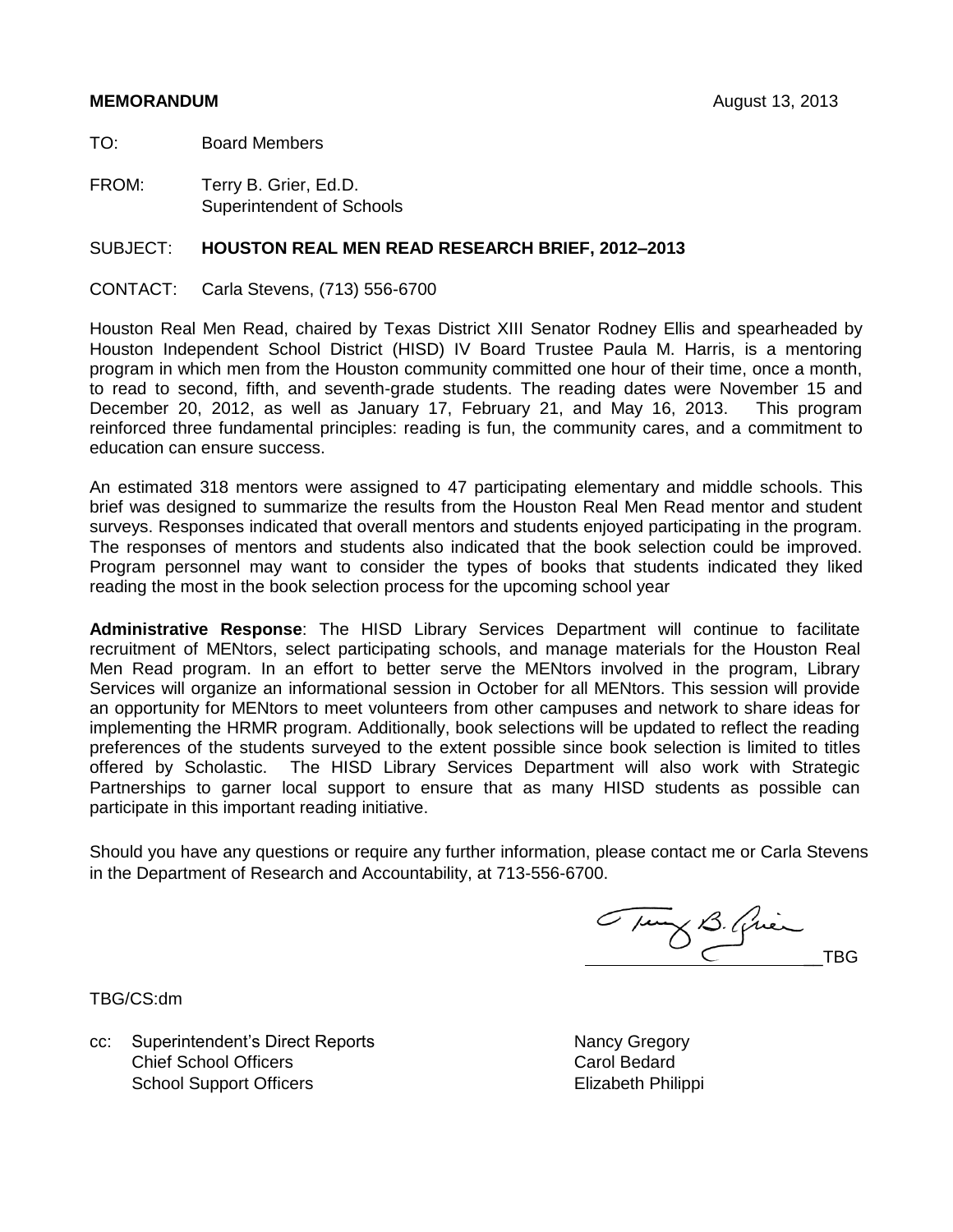# **MEMORANDUM** August 13, 2013

TO: Board Members

FROM: Terry B. Grier, Ed.D. Superintendent of Schools

# SUBJECT: **HOUSTON REAL MEN READ RESEARCH BRIEF, 2012–2013**

CONTACT: Carla Stevens, (713) 556-6700

Houston Real Men Read, chaired by Texas District XIII Senator Rodney Ellis and spearheaded by Houston Independent School District (HISD) IV Board Trustee Paula M. Harris, is a mentoring program in which men from the Houston community committed one hour of their time, once a month, to read to second, fifth, and seventh-grade students. The reading dates were November 15 and December 20, 2012, as well as January 17, February 21, and May 16, 2013. This program reinforced three fundamental principles: reading is fun, the community cares, and a commitment to education can ensure success.

An estimated 318 mentors were assigned to 47 participating elementary and middle schools. This brief was designed to summarize the results from the Houston Real Men Read mentor and student surveys. Responses indicated that overall mentors and students enjoyed participating in the program. The responses of mentors and students also indicated that the book selection could be improved. Program personnel may want to consider the types of books that students indicated they liked reading the most in the book selection process for the upcoming school year

**Administrative Response**: The HISD Library Services Department will continue to facilitate recruitment of MENtors, select participating schools, and manage materials for the Houston Real Men Read program. In an effort to better serve the MENtors involved in the program, Library Services will organize an informational session in October for all MENtors. This session will provide an opportunity for MENtors to meet volunteers from other campuses and network to share ideas for implementing the HRMR program. Additionally, book selections will be updated to reflect the reading preferences of the students surveyed to the extent possible since book selection is limited to titles offered by Scholastic. The HISD Library Services Department will also work with Strategic Partnerships to garner local support to ensure that as many HISD students as possible can participate in this important reading initiative.

Should you have any questions or require any further information, please contact me or Carla Stevens in the Department of Research and Accountability, at 713-556-6700.

Tung B. Quien

TBG/CS:dm

cc: Superintendent's Direct Reports Nancy Gregory Chief School Officers **Carol Bedard** Carol Bedard School Support Officers **Elizabeth Philippi**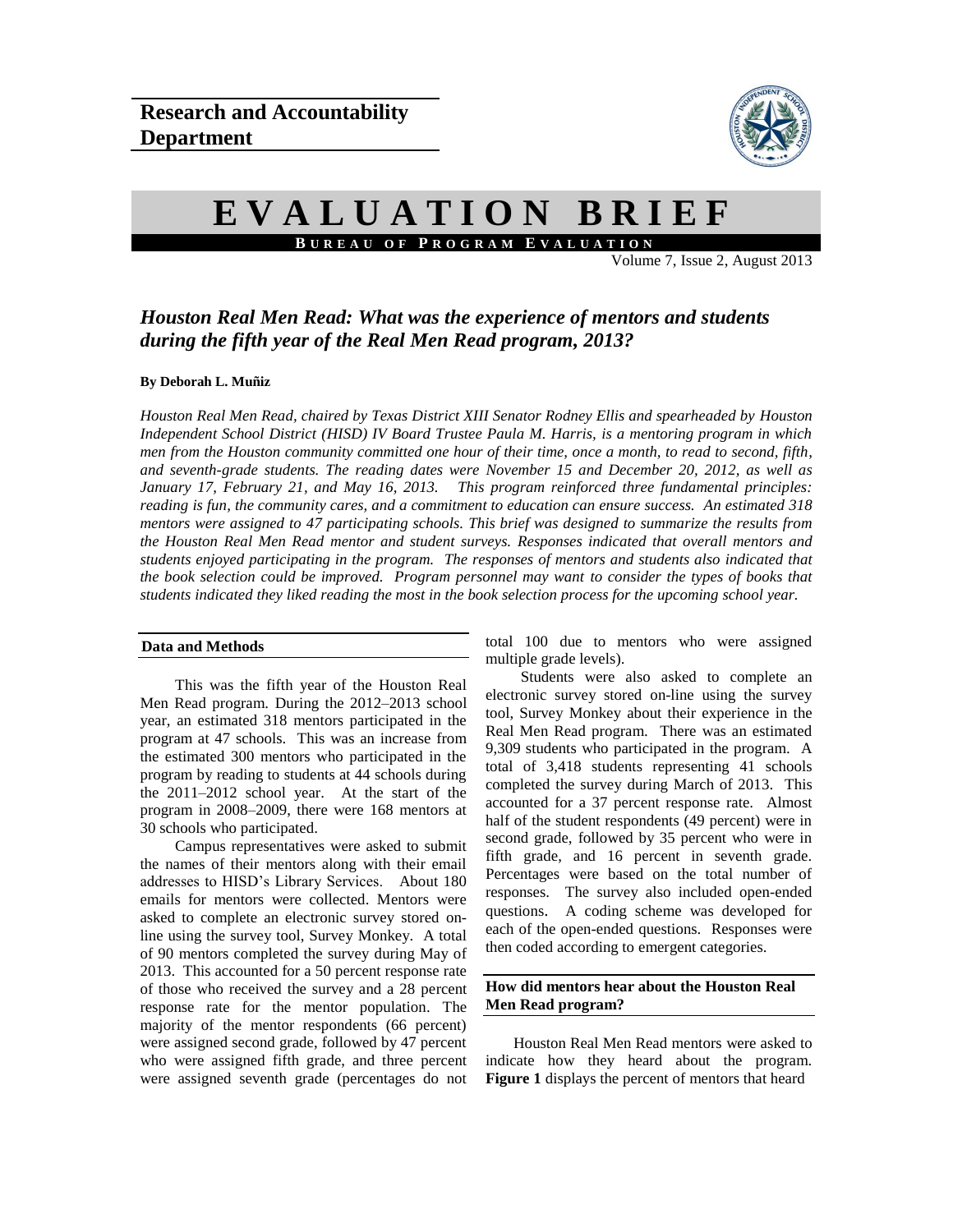

# **E V A L U A T I O N B R I E F B U R E A U O F P R O G R A M E V A L U A T I O N**

Volume 7, Issue 2, August 2013

# *Houston Real Men Read: What was the experience of mentors and students during the fifth year of the Real Men Read program, 2013?*

#### **By Deborah L. Muñiz**

*Houston Real Men Read, chaired by Texas District XIII Senator Rodney Ellis and spearheaded by Houston Independent School District (HISD) IV Board Trustee Paula M. Harris, is a mentoring program in which men from the Houston community committed one hour of their time, once a month, to read to second, fifth, and seventh-grade students. The reading dates were November 15 and December 20, 2012, as well as January 17, February 21, and May 16, 2013. This program reinforced three fundamental principles: reading is fun, the community cares, and a commitment to education can ensure success. An estimated 318 mentors were assigned to 47 participating schools. This brief was designed to summarize the results from the Houston Real Men Read mentor and student surveys. Responses indicated that overall mentors and students enjoyed participating in the program. The responses of mentors and students also indicated that the book selection could be improved. Program personnel may want to consider the types of books that students indicated they liked reading the most in the book selection process for the upcoming school year.* 

#### **Data and Methods**

This was the fifth year of the Houston Real Men Read program. During the 2012–2013 school year, an estimated 318 mentors participated in the program at 47 schools. This was an increase from the estimated 300 mentors who participated in the program by reading to students at 44 schools during the 2011–2012 school year. At the start of the program in 2008–2009, there were 168 mentors at 30 schools who participated.

Campus representatives were asked to submit the names of their mentors along with their email addresses to HISD's Library Services. About 180 emails for mentors were collected. Mentors were asked to complete an electronic survey stored online using the survey tool, Survey Monkey. A total of 90 mentors completed the survey during May of 2013. This accounted for a 50 percent response rate of those who received the survey and a 28 percent response rate for the mentor population. The majority of the mentor respondents (66 percent) were assigned second grade, followed by 47 percent who were assigned fifth grade, and three percent were assigned seventh grade (percentages do not

total 100 due to mentors who were assigned multiple grade levels).

Students were also asked to complete an electronic survey stored on-line using the survey tool, Survey Monkey about their experience in the Real Men Read program. There was an estimated 9,309 students who participated in the program. A total of 3,418 students representing 41 schools completed the survey during March of 2013. This accounted for a 37 percent response rate. Almost half of the student respondents (49 percent) were in second grade, followed by 35 percent who were in fifth grade, and 16 percent in seventh grade. Percentages were based on the total number of responses. The survey also included open-ended questions. A coding scheme was developed for each of the open-ended questions. Responses were then coded according to emergent categories.

# **How did mentors hear about the Houston Real Men Read program?**

Houston Real Men Read mentors were asked to indicate how they heard about the program. **Figure 1** displays the percent of mentors that heard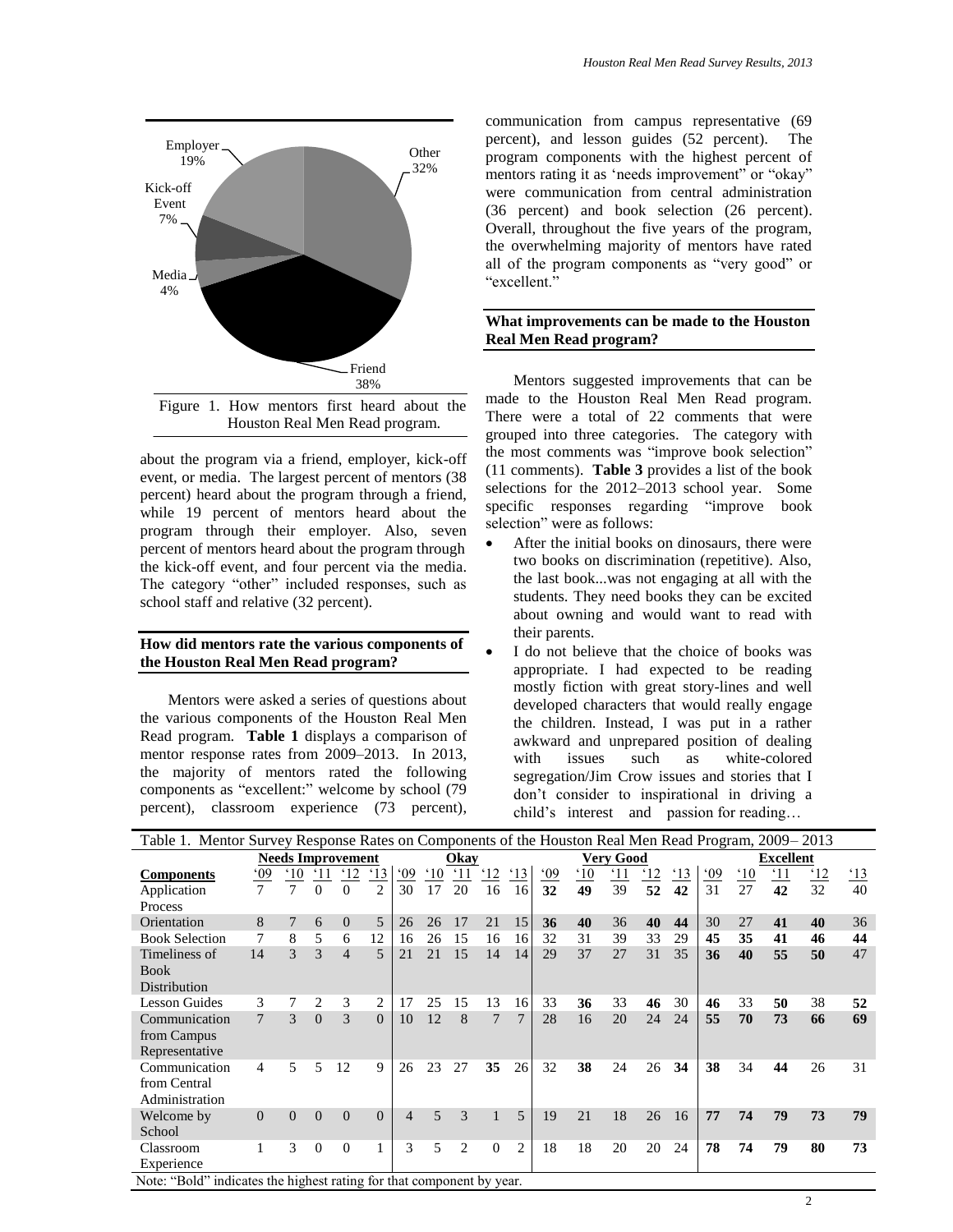

about the program via a friend, employer, kick-off event, or media. The largest percent of mentors (38 percent) heard about the program through a friend, while 19 percent of mentors heard about the program through their employer. Also, seven percent of mentors heard about the program through the kick-off event, and four percent via the media. The category "other" included responses, such as school staff and relative (32 percent).

#### **How did mentors rate the various components of the Houston Real Men Read program?**

Mentors were asked a series of questions about the various components of the Houston Real Men Read program. **Table 1** displays a comparison of mentor response rates from 2009–2013. In 2013, the majority of mentors rated the following components as "excellent:" welcome by school (79 percent), classroom experience (73 percent),

communication from campus representative (69 percent), and lesson guides (52 percent). The program components with the highest percent of mentors rating it as 'needs improvement" or "okay" were communication from central administration (36 percent) and book selection (26 percent). Overall, throughout the five years of the program, the overwhelming majority of mentors have rated all of the program components as "very good" or "excellent."

# **What improvements can be made to the Houston Real Men Read program?**

Mentors suggested improvements that can be made to the Houston Real Men Read program. There were a total of 22 comments that were grouped into three categories. The category with the most comments was "improve book selection" (11 comments). **Table 3** provides a list of the book selections for the 2012–2013 school year. Some specific responses regarding "improve book selection" were as follows:

- After the initial books on dinosaurs, there were two books on discrimination (repetitive). Also, the last book...was not engaging at all with the students. They need books they can be excited about owning and would want to read with their parents.
- I do not believe that the choice of books was appropriate. I had expected to be reading mostly fiction with great story-lines and well developed characters that would really engage the children. Instead, I was put in a rather awkward and unprepared position of dealing with issues such as white-colored segregation/Jim Crow issues and stories that I don't consider to inspirational in driving a child's interest and passion for reading…

| Table 1. Mentor Survey Response Rates on Components of the Houston Real Men Read Program, 2009–2013 |                  |              |               |              |                |     |                 |                |                  |                |                  |                 |                  |                |                |                  |                |            |            |              |
|-----------------------------------------------------------------------------------------------------|------------------|--------------|---------------|--------------|----------------|-----|-----------------|----------------|------------------|----------------|------------------|-----------------|------------------|----------------|----------------|------------------|----------------|------------|------------|--------------|
| <b>Needs Improvement</b>                                                                            |                  |              |               |              | Okav           |     |                 |                | <b>Very Good</b> |                |                  |                 | <b>Excellent</b> |                |                |                  |                |            |            |              |
| <b>Components</b>                                                                                   | $\underline{09}$ | $^{\circ}10$ |               | $^{\circ}12$ | <u>'13</u>     | .09 | $\frac{.10}{.}$ | $^{\circ}11$   | $\frac{12}{2}$   | 13             | $\frac{0.00}{0}$ | $\overline{10}$ | $^{\prime}11$    | $\frac{12}{2}$ | $\frac{13}{2}$ | $\underline{09}$ | $\frac{10}{1}$ | <u>'11</u> | <u>'12</u> | $^{\circ}13$ |
| Application                                                                                         |                  | 7            | $\Omega$      | 0            | $\overline{c}$ | 30  | 17              | 20             | 16               | 16             | 32               | 49              | 39               | 52             | 42             | 31               | 27             | 42         | 32         | 40           |
| Process                                                                                             |                  |              |               |              |                |     |                 |                |                  |                |                  |                 |                  |                |                |                  |                |            |            |              |
| Orientation                                                                                         | 8                | 7            | 6             | $\Omega$     | 5              | 26  | 26              | 17             | 21               | 15             | 36               | 40              | 36               | 40             | 44             | 30               | 27             | 41         | 40         | 36           |
| <b>Book Selection</b>                                                                               |                  | 8            | 5             | 6            | 12             | 16  | 26              | 15             | 16               | 16             | 32               | 31              | 39               | 33             | 29             | 45               | 35             | 41         | 46         | 44           |
| Timeliness of                                                                                       | 14               | 3            | $\mathcal{R}$ | 4            | 5              | 21  | 21              | 15             | 14               | 14             | 29               | 37              | 27               | 31             | 35             | 36               | 40             | 55         | 50         | 47           |
| <b>Book</b>                                                                                         |                  |              |               |              |                |     |                 |                |                  |                |                  |                 |                  |                |                |                  |                |            |            |              |
| Distribution                                                                                        |                  |              |               |              |                |     |                 |                |                  |                |                  |                 |                  |                |                |                  |                |            |            |              |
| Lesson Guides                                                                                       | 3                | 7            | 2             | 3            | 2              | 17  | 25              | 15             | 13               | 16             | 33               | 36              | 33               | 46             | 30             | 46               | 33             | 50         | 38         | 52           |
| Communication                                                                                       | $\tau$           | 3            | $\Omega$      | 3            | $\Omega$       | 10  | 12              | 8              | 7                | $\overline{7}$ | 28               | 16              | 20               | 24             | 24             | 55               | 70             | 73         | 66         | 69           |
| from Campus                                                                                         |                  |              |               |              |                |     |                 |                |                  |                |                  |                 |                  |                |                |                  |                |            |            |              |
| Representative                                                                                      |                  |              |               |              |                |     |                 |                |                  |                |                  |                 |                  |                |                |                  |                |            |            |              |
| Communication                                                                                       | 4                | 5            | 5             | 12           | 9              | 26  | 23              | 27             | 35               | 26             | 32               | 38              | 24               | 26             | 34             | 38               | 34             | 44         | 26         | 31           |
| from Central                                                                                        |                  |              |               |              |                |     |                 |                |                  |                |                  |                 |                  |                |                |                  |                |            |            |              |
| Administration                                                                                      |                  |              |               |              |                |     |                 |                |                  |                |                  |                 |                  |                |                |                  |                |            |            |              |
| Welcome by                                                                                          | $\Omega$         | $\Omega$     | $\Omega$      | $\Omega$     | $\Omega$       | 4   | $\overline{5}$  | 3              |                  | 5              | 19               | 21              | 18               | 26             | 16             | 77               | 74             | 79         | 73         | 79           |
| School                                                                                              |                  |              |               |              |                |     |                 |                |                  |                |                  |                 |                  |                |                |                  |                |            |            |              |
| Classroom                                                                                           |                  | 3            | $\Omega$      | $\Omega$     |                | 3   | 5               | $\overline{c}$ | $\Omega$         | $\overline{c}$ | 18               | 18              | 20               | 20             | 24             | 78               | 74             | 79         | 80         | 73           |
| Experience                                                                                          |                  |              |               |              |                |     |                 |                |                  |                |                  |                 |                  |                |                |                  |                |            |            |              |
| Note: "Bold" indicates the highest rating for that component by year.                               |                  |              |               |              |                |     |                 |                |                  |                |                  |                 |                  |                |                |                  |                |            |            |              |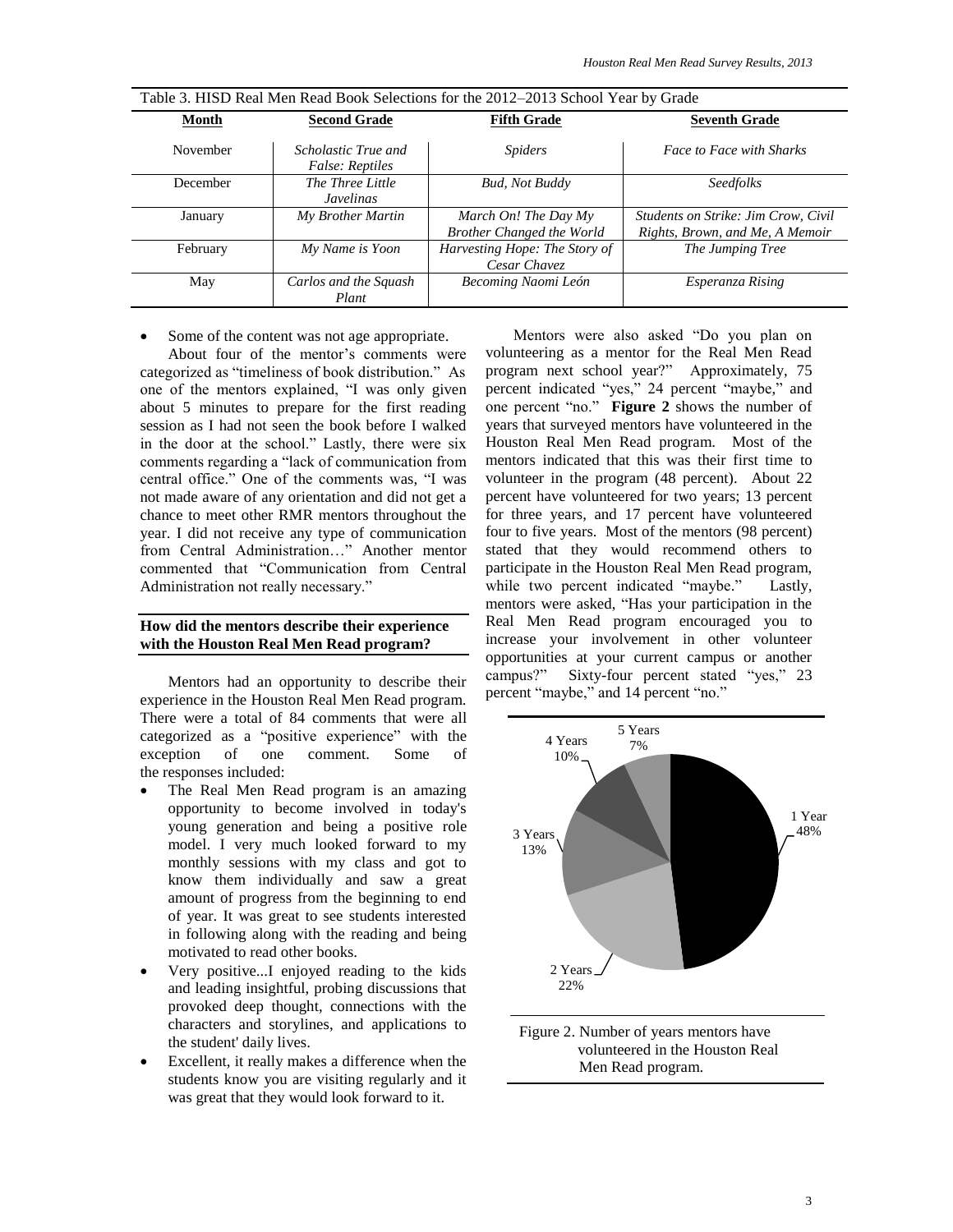| Table 5. These incarried in the BOOK SCIECULUMS for the 2012–2013 SCIIO01 Team by Grade |                                               |                                                          |                                                                        |  |  |  |  |  |  |
|-----------------------------------------------------------------------------------------|-----------------------------------------------|----------------------------------------------------------|------------------------------------------------------------------------|--|--|--|--|--|--|
| Month                                                                                   | <b>Second Grade</b>                           | <b>Fifth Grade</b>                                       | <b>Seventh Grade</b>                                                   |  |  |  |  |  |  |
| November                                                                                | Scholastic True and<br><i>False: Reptiles</i> | <i>Spiders</i>                                           | <b>Face to Face with Sharks</b>                                        |  |  |  |  |  |  |
| December                                                                                | The Three Little<br><b>Javelinas</b>          | <b>Bud, Not Buddy</b>                                    | <b>Seedfolks</b>                                                       |  |  |  |  |  |  |
| January                                                                                 | My Brother Martin                             | March On! The Day My<br><b>Brother Changed the World</b> | Students on Strike: Jim Crow, Civil<br>Rights, Brown, and Me, A Memoir |  |  |  |  |  |  |
| February                                                                                | My Name is Yoon                               | Harvesting Hope: The Story of<br>Cesar Chavez            | The Jumping Tree                                                       |  |  |  |  |  |  |
| May                                                                                     | Carlos and the Squash<br>Plant                | Becoming Naomi León                                      | Esperanza Rising                                                       |  |  |  |  |  |  |

Table 3. HISD Real Men Read Book Selections for the 2012–2013 School Year by Grade

• Some of the content was not age appropriate.

About four of the mentor's comments were categorized as "timeliness of book distribution." As one of the mentors explained, "I was only given about 5 minutes to prepare for the first reading session as I had not seen the book before I walked in the door at the school." Lastly, there were six comments regarding a "lack of communication from central office." One of the comments was, "I was not made aware of any orientation and did not get a chance to meet other RMR mentors throughout the year. I did not receive any type of communication from Central Administration…" Another mentor commented that "Communication from Central Administration not really necessary."

## **How did the mentors describe their experience with the Houston Real Men Read program?**

Mentors had an opportunity to describe their experience in the Houston Real Men Read program. There were a total of 84 comments that were all categorized as a "positive experience" with the exception of one comment. Some of the responses included:

- The Real Men Read program is an amazing opportunity to become involved in today's young generation and being a positive role model. I very much looked forward to my monthly sessions with my class and got to know them individually and saw a great amount of progress from the beginning to end of year. It was great to see students interested in following along with the reading and being motivated to read other books.
- Very positive...I enjoyed reading to the kids and leading insightful, probing discussions that provoked deep thought, connections with the characters and storylines, and applications to the student' daily lives.
- Excellent, it really makes a difference when the students know you are visiting regularly and it was great that they would look forward to it.

Mentors were also asked "Do you plan on volunteering as a mentor for the Real Men Read program next school year?" Approximately, 75 percent indicated "yes," 24 percent "maybe," and one percent "no." **Figure 2** shows the number of years that surveyed mentors have volunteered in the Houston Real Men Read program. Most of the mentors indicated that this was their first time to volunteer in the program (48 percent). About 22 percent have volunteered for two years; 13 percent for three years, and 17 percent have volunteered four to five years. Most of the mentors (98 percent) stated that they would recommend others to participate in the Houston Real Men Read program, while two percent indicated "maybe." Lastly, mentors were asked, "Has your participation in the Real Men Read program encouraged you to increase your involvement in other volunteer opportunities at your current campus or another campus?" Sixty-four percent stated "yes," 23 percent "maybe," and 14 percent "no."



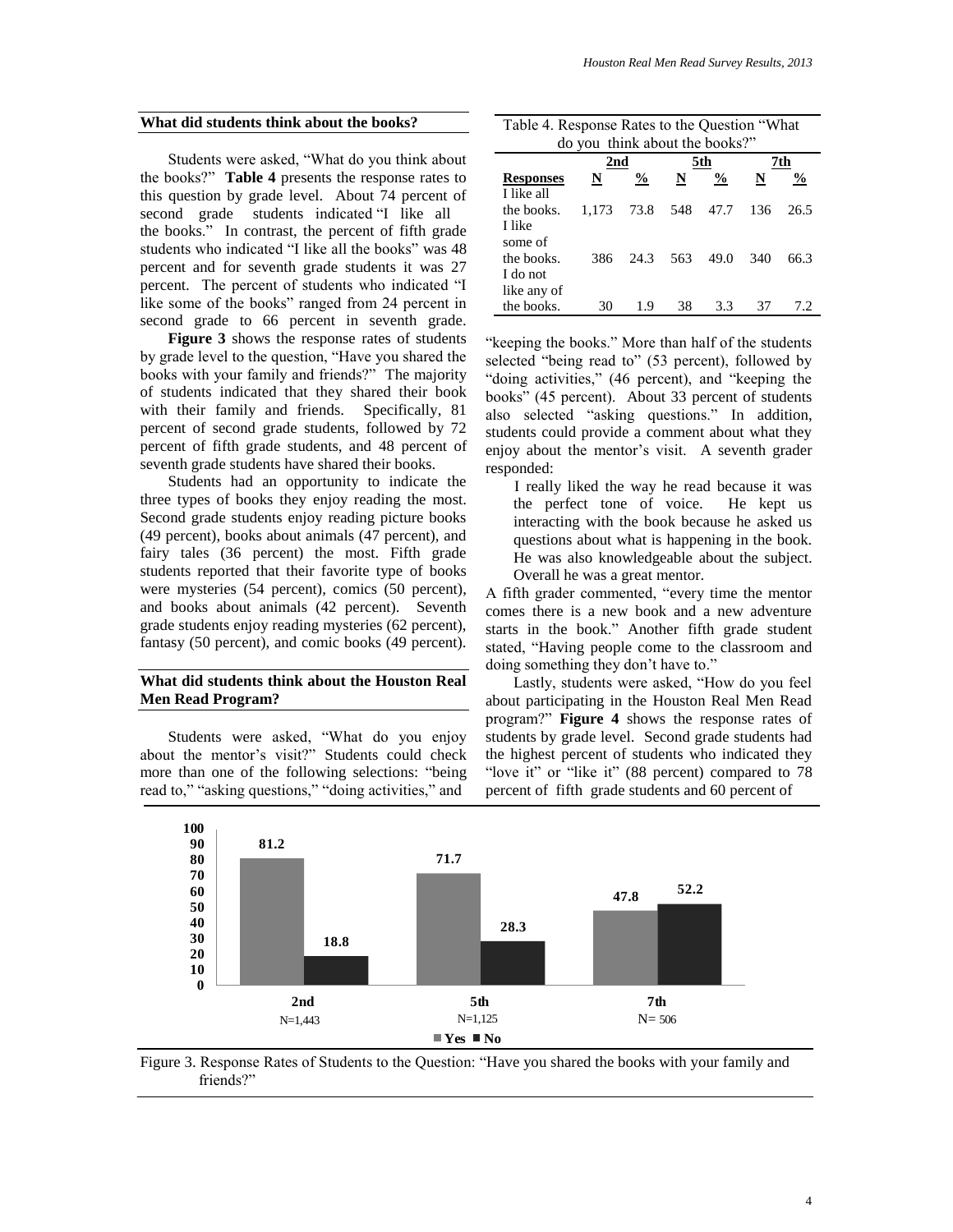#### **What did students think about the books?**

Students were asked, "What do you think about the books?" **Table 4** presents the response rates to this question by grade level. About 74 percent of second grade students indicated "I like all the books." In contrast, the percent of fifth grade students who indicated "I like all the books" was 48 percent and for seventh grade students it was 27 percent. The percent of students who indicated "I like some of the books" ranged from 24 percent in second grade to 66 percent in seventh grade.

**Figure 3** shows the response rates of students by grade level to the question, "Have you shared the books with your family and friends?" The majority of students indicated that they shared their book with their family and friends. Specifically, 81 percent of second grade students, followed by 72 percent of fifth grade students, and 48 percent of seventh grade students have shared their books.

Students had an opportunity to indicate the three types of books they enjoy reading the most. Second grade students enjoy reading picture books (49 percent), books about animals (47 percent), and fairy tales (36 percent) the most. Fifth grade students reported that their favorite type of books were mysteries (54 percent), comics (50 percent), and books about animals (42 percent). Seventh grade students enjoy reading mysteries (62 percent), fantasy (50 percent), and comic books (49 percent).

## **What did students think about the Houston Real Men Read Program?**

Students were asked, "What do you enjoy about the mentor's visit?" Students could check more than one of the following selections: "being read to," "asking questions," "doing activities," and

| Table 4. Response Rates to the Question "What |                                |  |  |  |  |  |  |  |  |  |
|-----------------------------------------------|--------------------------------|--|--|--|--|--|--|--|--|--|
|                                               | do you think about the books?" |  |  |  |  |  |  |  |  |  |

|                  | 2nd   |      |     | 5th           | 7th |               |  |
|------------------|-------|------|-----|---------------|-----|---------------|--|
| <b>Responses</b> | N     | $\%$ | N   | $\frac{6}{9}$ | N   | $\frac{0}{0}$ |  |
| I like all       |       |      |     |               |     |               |  |
| the books.       | 1.173 | 73.8 | 548 | 47.7          | 136 | 26.5          |  |
| I like           |       |      |     |               |     |               |  |
| some of          |       |      |     |               |     |               |  |
| the books.       | 386   | 24.3 | 563 | 49.0          | 340 | 66.3          |  |
| I do not         |       |      |     |               |     |               |  |
| like any of      |       |      |     |               |     |               |  |
| the books.       | 30    | 1.9  | 38  | 3.3           | 37  | 72            |  |

"keeping the books." More than half of the students selected "being read to" (53 percent), followed by "doing activities," (46 percent), and "keeping the books" (45 percent). About 33 percent of students also selected "asking questions." In addition, students could provide a comment about what they enjoy about the mentor's visit. A seventh grader responded:

 I really liked the way he read because it was the perfect tone of voice. He kept us interacting with the book because he asked us questions about what is happening in the book. He was also knowledgeable about the subject. Overall he was a great mentor.

A fifth grader commented, "every time the mentor comes there is a new book and a new adventure starts in the book." Another fifth grade student stated, "Having people come to the classroom and doing something they don't have to."

Lastly, students were asked, "How do you feel about participating in the Houston Real Men Read program?" **Figure 4** shows the response rates of students by grade level. Second grade students had the highest percent of students who indicated they "love it" or "like it" (88 percent) compared to 78 percent of fifth grade students and 60 percent of



Figure 3. Response Rates of Students to the Question: "Have you shared the books with your family and friends?"